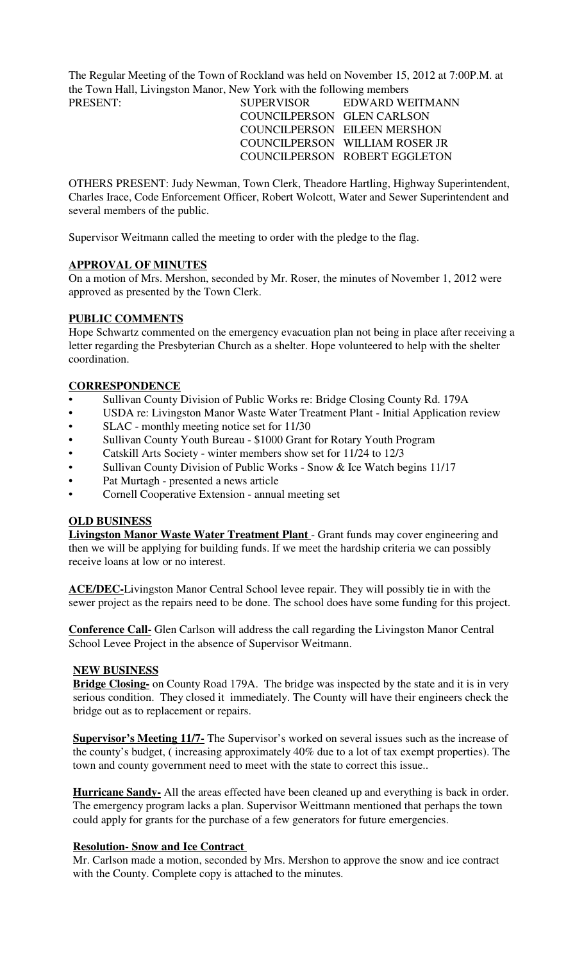The Regular Meeting of the Town of Rockland was held on November 15, 2012 at 7:00P.M. at the Town Hall, Livingston Manor, New York with the following members

PRESENT: SUPERVISOR EDWARD WEITMANN COUNCILPERSON GLEN CARLSON COUNCILPERSON EILEEN MERSHON COUNCILPERSON WILLIAM ROSER JR COUNCILPERSON ROBERT EGGLETON

OTHERS PRESENT: Judy Newman, Town Clerk, Theadore Hartling, Highway Superintendent, Charles Irace, Code Enforcement Officer, Robert Wolcott, Water and Sewer Superintendent and several members of the public.

Supervisor Weitmann called the meeting to order with the pledge to the flag.

## **APPROVAL OF MINUTES**

On a motion of Mrs. Mershon, seconded by Mr. Roser, the minutes of November 1, 2012 were approved as presented by the Town Clerk.

## **PUBLIC COMMENTS**

Hope Schwartz commented on the emergency evacuation plan not being in place after receiving a letter regarding the Presbyterian Church as a shelter. Hope volunteered to help with the shelter coordination.

### **CORRESPONDENCE**

- Sullivan County Division of Public Works re: Bridge Closing County Rd. 179A
- USDA re: Livingston Manor Waste Water Treatment Plant Initial Application review
- SLAC monthly meeting notice set for 11/30
- Sullivan County Youth Bureau \$1000 Grant for Rotary Youth Program
- Catskill Arts Society winter members show set for 11/24 to 12/3
- Sullivan County Division of Public Works Snow & Ice Watch begins 11/17
- Pat Murtagh presented a news article
- Cornell Cooperative Extension annual meeting set

## **OLD BUSINESS**

**Livingston Manor Waste Water Treatment Plant** - Grant funds may cover engineering and then we will be applying for building funds. If we meet the hardship criteria we can possibly receive loans at low or no interest.

**ACE/DEC-**Livingston Manor Central School levee repair. They will possibly tie in with the sewer project as the repairs need to be done. The school does have some funding for this project.

**Conference Call-** Glen Carlson will address the call regarding the Livingston Manor Central School Levee Project in the absence of Supervisor Weitmann.

### **NEW BUSINESS**

**Bridge Closing-** on County Road 179A. The bridge was inspected by the state and it is in very serious condition. They closed it immediately. The County will have their engineers check the bridge out as to replacement or repairs.

**Supervisor's Meeting 11/7-** The Supervisor's worked on several issues such as the increase of the county's budget, ( increasing approximately 40% due to a lot of tax exempt properties). The town and county government need to meet with the state to correct this issue..

**Hurricane Sandy-** All the areas effected have been cleaned up and everything is back in order. The emergency program lacks a plan. Supervisor Weittmann mentioned that perhaps the town could apply for grants for the purchase of a few generators for future emergencies.

#### **Resolution- Snow and Ice Contract**

Mr. Carlson made a motion, seconded by Mrs. Mershon to approve the snow and ice contract with the County. Complete copy is attached to the minutes.